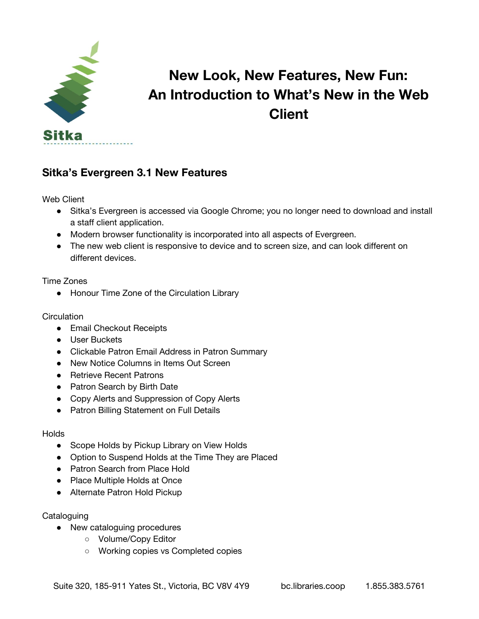

# **New Look, New Features, New Fun: An Introduction to What's New in the Web Client**

## **Sitka's Evergreen 3.1 New Features**

Web Client

- Sitka's Evergreen is accessed via Google Chrome; you no longer need to download and install a staff client application.
- Modern browser functionality is incorporated into all aspects of Evergreen.
- The new web client is responsive to device and to screen size, and can look different on different devices.

Time Zones

● Honour Time Zone of the Circulation Library

#### **Circulation**

- Email Checkout Receipts
- User Buckets
- Clickable Patron Email Address in Patron Summary
- New Notice Columns in Items Out Screen
- Retrieve Recent Patrons
- Patron Search by Birth Date
- Copy Alerts and Suppression of Copy Alerts
- Patron Billing Statement on Full Details

#### **Holds**

- Scope Holds by Pickup Library on View Holds
- Option to Suspend Holds at the Time They are Placed
- Patron Search from Place Hold
- Place Multiple Holds at Once
- Alternate Patron Hold Pickup

#### **Cataloguing**

- New cataloguing procedures
	- Volume/Copy Editor
	- Working copies vs Completed copies